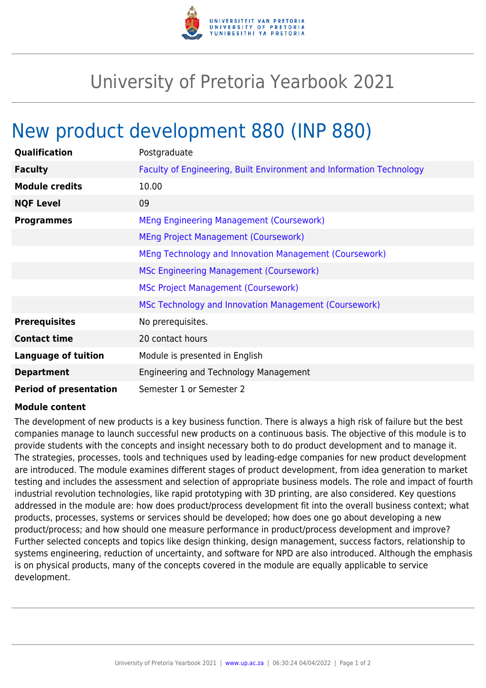

## University of Pretoria Yearbook 2021

## New product development 880 (INP 880)

| Qualification                 | Postgraduate                                                         |
|-------------------------------|----------------------------------------------------------------------|
| <b>Faculty</b>                | Faculty of Engineering, Built Environment and Information Technology |
| <b>Module credits</b>         | 10.00                                                                |
| <b>NQF Level</b>              | 09                                                                   |
| <b>Programmes</b>             | <b>MEng Engineering Management (Coursework)</b>                      |
|                               | MEng Project Management (Coursework)                                 |
|                               | MEng Technology and Innovation Management (Coursework)               |
|                               | <b>MSc Engineering Management (Coursework)</b>                       |
|                               | <b>MSc Project Management (Coursework)</b>                           |
|                               | MSc Technology and Innovation Management (Coursework)                |
| <b>Prerequisites</b>          | No prerequisites.                                                    |
| <b>Contact time</b>           | 20 contact hours                                                     |
| <b>Language of tuition</b>    | Module is presented in English                                       |
| <b>Department</b>             | Engineering and Technology Management                                |
| <b>Period of presentation</b> | Semester 1 or Semester 2                                             |

## **Module content**

The development of new products is a key business function. There is always a high risk of failure but the best companies manage to launch successful new products on a continuous basis. The objective of this module is to provide students with the concepts and insight necessary both to do product development and to manage it. The strategies, processes, tools and techniques used by leading-edge companies for new product development are introduced. The module examines different stages of product development, from idea generation to market testing and includes the assessment and selection of appropriate business models. The role and impact of fourth industrial revolution technologies, like rapid prototyping with 3D printing, are also considered. Key questions addressed in the module are: how does product/process development fit into the overall business context; what products, processes, systems or services should be developed; how does one go about developing a new product/process; and how should one measure performance in product/process development and improve? Further selected concepts and topics like design thinking, design management, success factors, relationship to systems engineering, reduction of uncertainty, and software for NPD are also introduced. Although the emphasis is on physical products, many of the concepts covered in the module are equally applicable to service development.